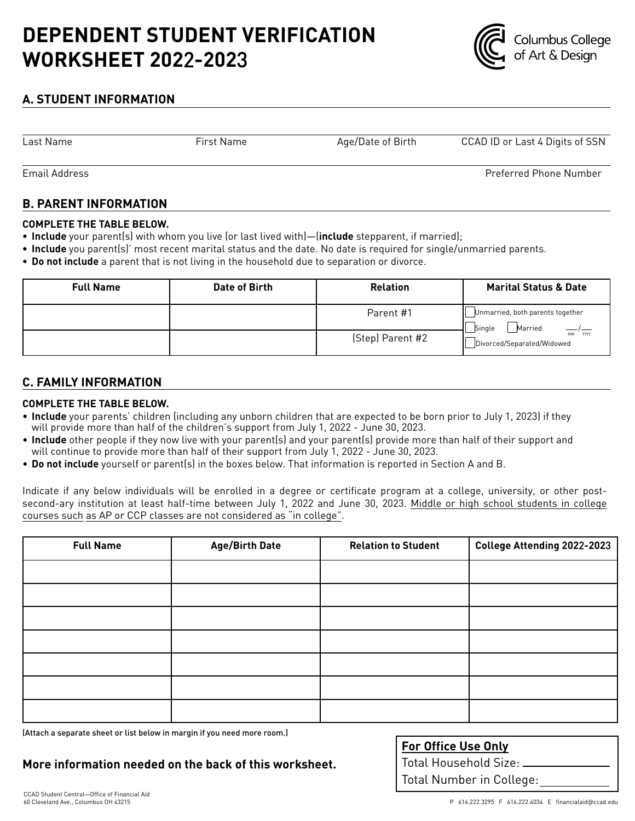# **DEPENDENT STUDENT VERIFICATION WORKSHEET 202**2**-202**3



## **A. STUDENT INFORMATION**

Last Name

First Name Age/Date of Birth CCAD ID or Last 4 Digits of SSN

Preferred Phone Number

Email Address

## **B. PARENT INFORMATION**

#### **COMPLETE THE TABLE BELOW.**

- **• Include** your parent(s) with whom you live (or last lived with)—(**include** stepparent, if married);
- **• Include** you parent(s)' most recent marital status and the date. No date is required for single/unmarried parents.
- **• Do not include** a parent that is not living in the household due to separation or divorce.

| <b>Full Name</b> | Date of Birth | <b>Relation</b>  | <b>Marital Status &amp; Date</b>                      |
|------------------|---------------|------------------|-------------------------------------------------------|
|                  |               | Parent #1        | Unmarried, both parents together<br>Married<br>Single |
|                  |               | (Step) Parent #2 | MM YYYY<br>Divorced/Separated/Widowed                 |

### **C. FAMILY INFORMATION**

#### **COMPLETE THE TABLE BELOW.**

- **Include** your parents' children (including any unborn children that are expected to be born prior to July 1, 2023) if they will provide more than half of the children's support from July 1, 2022 - June 30, 2023.
- **Include** other people if they now live with your parent(s) and your parent(s) provide more than half of their support and will continue to provide more than half of their support from July 1, 2022 - June 30, 2023.
- **Do not include** yourself or parent(s) in the boxes below. That information is reported in Section A and B.

Indicate if any below individuals will be enrolled in a degree or certificate program at a college, university, or other postsecond-ary institution at least half-time between July 1, 2022 and June 30, 2023. Middle or high school students in college courses such as AP or CCP classes are not considered as "in college".

| <b>Full Name</b> | <b>Age/Birth Date</b> | <b>Relation to Student</b> | College Attending 2022-2023 |
|------------------|-----------------------|----------------------------|-----------------------------|
|                  |                       |                            |                             |
|                  |                       |                            |                             |
|                  |                       |                            |                             |
|                  |                       |                            |                             |
|                  |                       |                            |                             |
|                  |                       |                            |                             |
|                  |                       |                            |                             |

(Attach a separate sheet or list below in margin if you need more room.)

**More information needed on the back of this worksheet.**

| <b>For Office Use Only</b> |
|----------------------------|
| Total Household Size: _    |
| Total Number in College:   |
|                            |